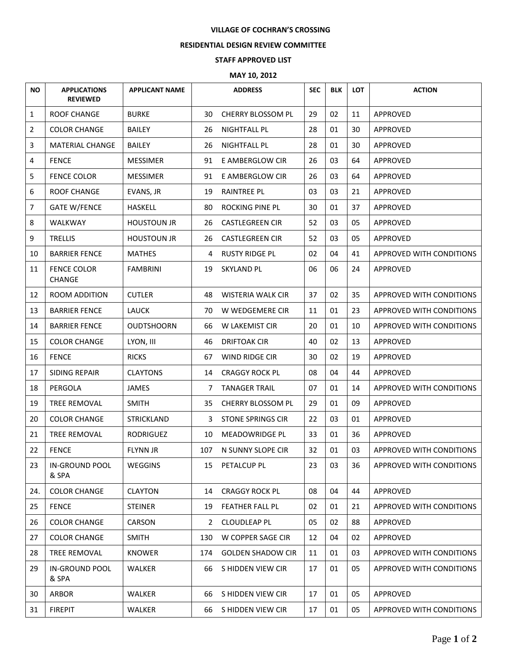## **VILLAGE OF COCHRAN'S CROSSING**

## **RESIDENTIAL DESIGN REVIEW COMMITTEE**

## **STAFF APPROVED LIST**

## **MAY 10, 2012**

| <b>NO</b>      | <b>APPLICATIONS</b><br><b>REVIEWED</b> | <b>APPLICANT NAME</b> |     | <b>ADDRESS</b>           | <b>SEC</b> | <b>BLK</b> | <b>LOT</b> | <b>ACTION</b>            |
|----------------|----------------------------------------|-----------------------|-----|--------------------------|------------|------------|------------|--------------------------|
| $\mathbf{1}$   | ROOF CHANGE                            | <b>BURKE</b>          | 30  | CHERRY BLOSSOM PL        | 29         | 02         | 11         | APPROVED                 |
| $\overline{2}$ | <b>COLOR CHANGE</b>                    | <b>BAILEY</b>         | 26  | <b>NIGHTFALL PL</b>      | 28         | 01         | 30         | APPROVED                 |
| 3              | <b>MATERIAL CHANGE</b>                 | <b>BAILEY</b>         | 26  | NIGHTFALL PL             | 28         | 01         | 30         | APPROVED                 |
| 4              | <b>FENCE</b>                           | <b>MESSIMER</b>       | 91  | E AMBERGLOW CIR          | 26         | 03         | 64         | APPROVED                 |
| 5              | <b>FENCE COLOR</b>                     | <b>MESSIMER</b>       | 91  | E AMBERGLOW CIR          | 26         | 03         | 64         | APPROVED                 |
| 6              | <b>ROOF CHANGE</b>                     | EVANS, JR             | 19  | <b>RAINTREE PL</b>       | 03         | 03         | 21         | APPROVED                 |
| 7              | <b>GATE W/FENCE</b>                    | <b>HASKELL</b>        | 80  | ROCKING PINE PL          | 30         | 01         | 37         | APPROVED                 |
| 8              | WALKWAY                                | <b>HOUSTOUN JR</b>    | 26  | <b>CASTLEGREEN CIR</b>   | 52         | 03         | 05         | APPROVED                 |
| 9              | <b>TRELLIS</b>                         | <b>HOUSTOUN JR</b>    | 26  | <b>CASTLEGREEN CIR</b>   | 52         | 03         | 05         | APPROVED                 |
| 10             | <b>BARRIER FENCE</b>                   | <b>MATHES</b>         | 4   | <b>RUSTY RIDGE PL</b>    | 02         | 04         | 41         | APPROVED WITH CONDITIONS |
| 11             | <b>FENCE COLOR</b><br><b>CHANGE</b>    | <b>FAMBRINI</b>       | 19  | <b>SKYLAND PL</b>        | 06         | 06         | 24         | APPROVED                 |
| 12             | <b>ROOM ADDITION</b>                   | <b>CUTLER</b>         | 48  | <b>WISTERIA WALK CIR</b> | 37         | 02         | 35         | APPROVED WITH CONDITIONS |
| 13             | <b>BARRIER FENCE</b>                   | LAUCK                 | 70  | W WEDGEMERE CIR          | 11         | 01         | 23         | APPROVED WITH CONDITIONS |
| 14             | <b>BARRIER FENCE</b>                   | <b>OUDTSHOORN</b>     | 66  | W LAKEMIST CIR           | 20         | 01         | 10         | APPROVED WITH CONDITIONS |
| 15             | <b>COLOR CHANGE</b>                    | LYON, III             | 46  | <b>DRIFTOAK CIR</b>      | 40         | 02         | 13         | APPROVED                 |
| 16             | <b>FENCE</b>                           | <b>RICKS</b>          | 67  | WIND RIDGE CIR           | 30         | 02         | 19         | APPROVED                 |
| 17             | <b>SIDING REPAIR</b>                   | <b>CLAYTONS</b>       | 14  | <b>CRAGGY ROCK PL</b>    | 08         | 04         | 44         | APPROVED                 |
| 18             | PERGOLA                                | <b>JAMES</b>          | 7   | <b>TANAGER TRAIL</b>     | 07         | 01         | 14         | APPROVED WITH CONDITIONS |
| 19             | <b>TREE REMOVAL</b>                    | <b>SMITH</b>          | 35  | <b>CHERRY BLOSSOM PL</b> | 29         | 01         | 09         | APPROVED                 |
| 20             | <b>COLOR CHANGE</b>                    | <b>STRICKLAND</b>     | 3   | <b>STONE SPRINGS CIR</b> | 22         | 03         | 01         | APPROVED                 |
| 21             | <b>TREE REMOVAL</b>                    | <b>RODRIGUEZ</b>      | 10  | MEADOWRIDGE PL           | 33         | 01         | 36         | <b>APPROVED</b>          |
| 22             | <b>FENCE</b>                           | <b>FLYNN JR</b>       | 107 | N SUNNY SLOPE CIR        | 32         | 01         | 03         | APPROVED WITH CONDITIONS |
| 23             | <b>IN-GROUND POOL</b><br>& SPA         | WEGGINS               | 15  | PETALCUP PL              | 23         | 03         | 36         | APPROVED WITH CONDITIONS |
| 24.            | <b>COLOR CHANGE</b>                    | <b>CLAYTON</b>        | 14  | <b>CRAGGY ROCK PL</b>    | 08         | 04         | 44         | APPROVED                 |
| 25             | <b>FENCE</b>                           | <b>STEINER</b>        | 19  | <b>FEATHER FALL PL</b>   | 02         | 01         | 21         | APPROVED WITH CONDITIONS |
| 26             | <b>COLOR CHANGE</b>                    | <b>CARSON</b>         | 2   | <b>CLOUDLEAP PL</b>      | 05         | 02         | 88         | APPROVED                 |
| 27             | <b>COLOR CHANGE</b>                    | <b>SMITH</b>          | 130 | <b>W COPPER SAGE CIR</b> | 12         | 04         | 02         | APPROVED                 |
| 28             | TREE REMOVAL                           | <b>KNOWER</b>         | 174 | <b>GOLDEN SHADOW CIR</b> | 11         | 01         | 03         | APPROVED WITH CONDITIONS |
| 29             | IN-GROUND POOL<br>& SPA                | <b>WALKER</b>         | 66  | S HIDDEN VIEW CIR        | 17         | 01         | 05         | APPROVED WITH CONDITIONS |
| 30             | <b>ARBOR</b>                           | <b>WALKER</b>         | 66  | S HIDDEN VIEW CIR        | 17         | 01         | 05         | APPROVED                 |
| 31             | <b>FIREPIT</b>                         | <b>WALKER</b>         | 66  | S HIDDEN VIEW CIR        | 17         | 01         | 05         | APPROVED WITH CONDITIONS |